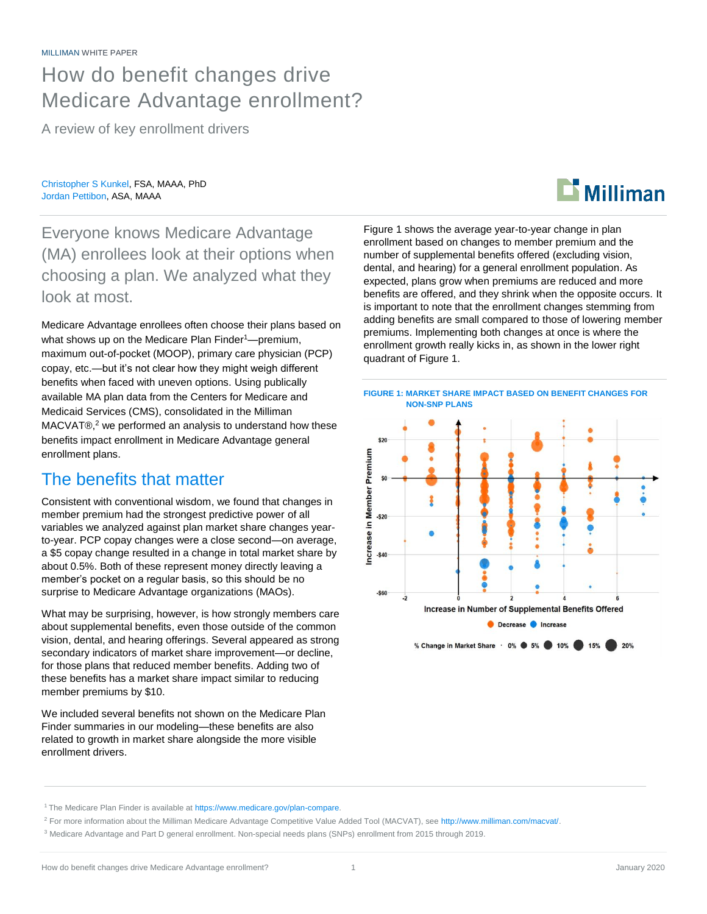## How do benefit changes drive Medicare Advantage enrollment?

A review of key enrollment drivers

Christopher S Kunkel, FSA, MAAA, PhD Jordan Pettibon, ASA, MAAA

Everyone knows Medicare Advantage (MA) enrollees look at their options when choosing a plan. We analyzed what they look at most.

Medicare Advantage enrollees often choose their plans based on what shows up on the Medicare Plan Finder<sup>1</sup>—premium, maximum out-of-pocket (MOOP), primary care physician (PCP) copay, etc.—but it's not clear how they might weigh different benefits when faced with uneven options. Using publically available MA plan data from the Centers for Medicare and Medicaid Services (CMS), consolidated in the Milliman MACVAT®, <sup>2</sup> we performed an analysis to understand how these benefits impact enrollment in Medicare Advantage general enrollment plans.

### The benefits that matter

Consistent with conventional wisdom, we found that changes in member premium had the strongest predictive power of all variables we analyzed against plan market share changes yearto-year. PCP copay changes were a close second—on average, a \$5 copay change resulted in a change in total market share by about 0.5%. Both of these represent money directly leaving a member's pocket on a regular basis, so this should be no surprise to Medicare Advantage organizations (MAOs).

What may be surprising, however, is how strongly members care about supplemental benefits, even those outside of the common vision, dental, and hearing offerings. Several appeared as strong secondary indicators of market share improvement—or decline, for those plans that reduced member benefits. Adding two of these benefits has a market share impact similar to reducing member premiums by \$10.

We included several benefits not shown on the Medicare Plan Finder summaries in our modeling—these benefits are also related to growth in market share alongside the more visible enrollment drivers.

Figure 1 shows the average year-to-year change in plan enrollment based on changes to member premium and the number of supplemental benefits offered (excluding vision, dental, and hearing) for a general enrollment population. As expected, plans grow when premiums are reduced and more benefits are offered, and they shrink when the opposite occurs. It is important to note that the enrollment changes stemming from adding benefits are small compared to those of lowering member premiums. Implementing both changes at once is where the enrollment growth really kicks in, as shown in the lower right quadrant of Figure 1.

 $\mathbf{\mathbf{\Sigma}}$  Milliman



<sup>&</sup>lt;sup>1</sup> The Medicare Plan Finder is available at [https://www.medicare.gov/plan-compare.](https://www.medicare.gov/plan-compare)

<sup>2</sup> For more information about the Milliman Medicare Advantage Competitive Value Added Tool (MACVAT), see [http://www.milliman.com/macvat/.](http://www.milliman.com/macvat/)

<sup>3</sup> Medicare Advantage and Part D general enrollment. Non-special needs plans (SNPs) enrollment from 2015 through 2019.